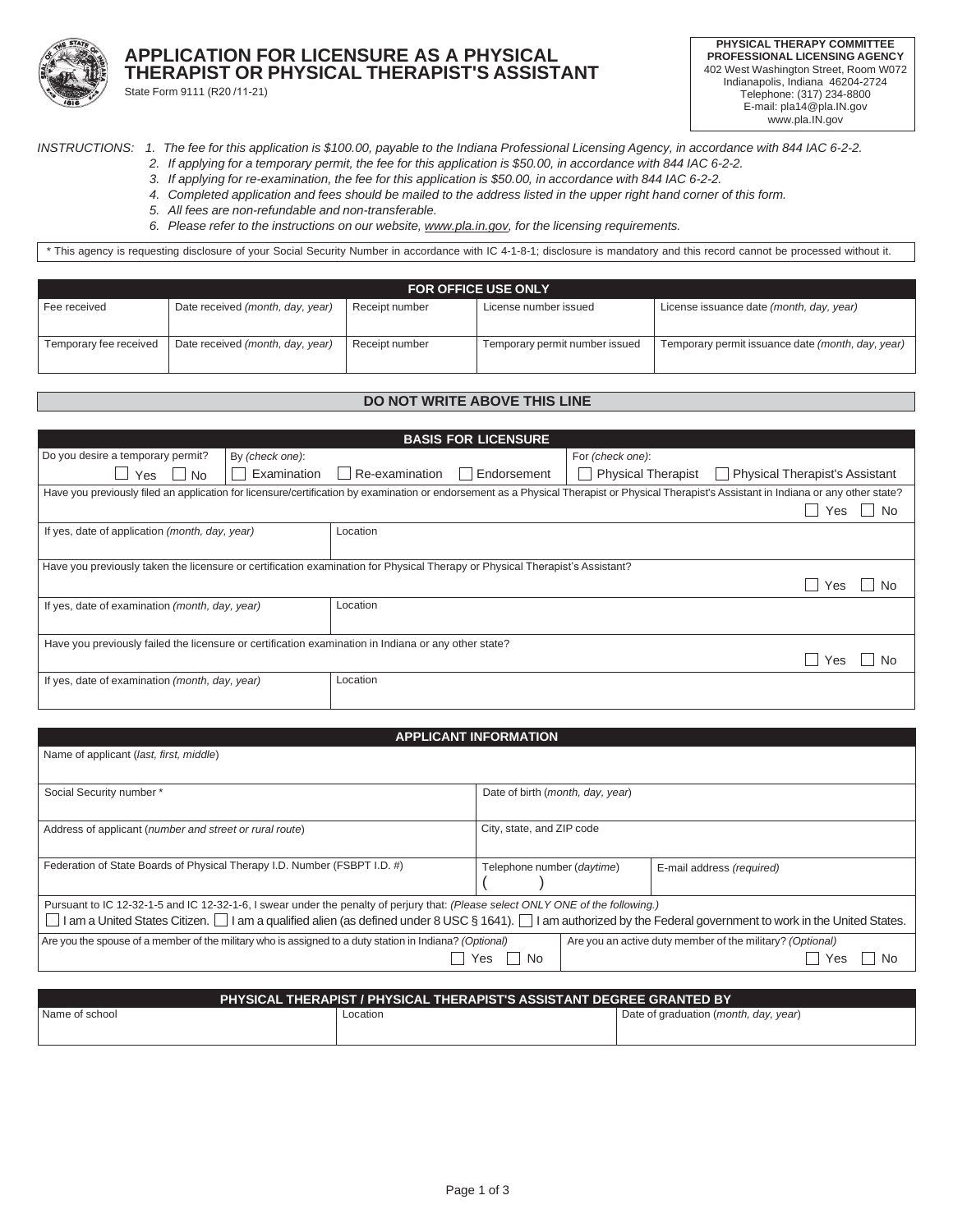

## **APPLICATION FOR LICENSURE AS A PHYSICAL THERAPIST OR PHYSICAL THERAPIST'S ASSISTANT** State Form 9111 (R20 /11-21)

**PHYSICAL THERAPY COMMITTEE PROFESSIONAL LICENSING AGENCY** 402 West Washington Street, Room W072 Indianapolis, Indiana 46204-2724 Telephone: (317) 234-8800 E-mail[: pla14@pla.IN.gov](mailto:pla14@pla.IN.gov) [www.pla.IN.gov](http://www.pla.in.gov/)

INSTRUCTIONS: 1. The fee for this application is \$100.00, payable to the Indiana Professional Licensing Agency, in accordance with 844 IAC 6-2-2.

- 2. If applying for a temporary permit, the fee for this application is \$50.00, in accordance with 844 IAC 6-2-2.
- 3. If applying for re-examination, the fee for this application is \$50.00, in accordance with 844 IAC 6-2-2.
- 4. Completed application and fees should be mailed to the address listed in the upper right hand corner of this form.
- *5. All fees are non-refundable and non-transferable.*
- *6. Please refer to the instructions on our website, [www.pla.in.gov,](http://www.pla.in.gov/) for the licensing requirements.*

\* This agency is requesting disclosure of your Social Security Number in accordance with IC 4-1-8-1; disclosure is mandatory and this record cannot be processed without it.

| <b>FOR OFFICE USE ONLY</b> |                                  |                |                                |                                                   |
|----------------------------|----------------------------------|----------------|--------------------------------|---------------------------------------------------|
| Fee received               | Date received (month, day, year) | Receipt number | License number issued          | License issuance date (month, day, year)          |
| Temporary fee received     | Date received (month, day, year) | Receipt number | Temporary permit number issued | Temporary permit issuance date (month, day, year) |

## **DO NOT WRITE ABOVE THIS LINE**

| <b>BASIS FOR LICENSURE</b>                                                                                                   |                 |                |             |                  |                                                                                                                                                                                             |
|------------------------------------------------------------------------------------------------------------------------------|-----------------|----------------|-------------|------------------|---------------------------------------------------------------------------------------------------------------------------------------------------------------------------------------------|
| Do you desire a temporary permit?                                                                                            | By (check one): |                |             | For (check one): |                                                                                                                                                                                             |
| Yes<br>$\vert$ No                                                                                                            | Examination     | Re-examination | Endorsement |                  | $\Box$ Physical Therapist $\Box$ Physical Therapist's Assistant                                                                                                                             |
|                                                                                                                              |                 |                |             |                  | Have you previously filed an application for licensure/certification by examination or endorsement as a Physical Therapist or Physical Therapist's Assistant in Indiana or any other state? |
|                                                                                                                              |                 |                |             |                  | Yes<br><b>No</b><br>$\mathbf{I}$                                                                                                                                                            |
| If yes, date of application (month, day, year)                                                                               |                 | Location       |             |                  |                                                                                                                                                                                             |
|                                                                                                                              |                 |                |             |                  |                                                                                                                                                                                             |
| Have you previously taken the licensure or certification examination for Physical Therapy or Physical Therapist's Assistant? |                 |                |             |                  |                                                                                                                                                                                             |
|                                                                                                                              |                 |                |             |                  | No.<br>Yes                                                                                                                                                                                  |
| If yes, date of examination (month, day, year)                                                                               |                 | Location       |             |                  |                                                                                                                                                                                             |
|                                                                                                                              |                 |                |             |                  |                                                                                                                                                                                             |
| Have you previously failed the licensure or certification examination in Indiana or any other state?                         |                 |                |             |                  |                                                                                                                                                                                             |
|                                                                                                                              |                 |                |             |                  | Yes                                                                                                                                                                                         |
| If yes, date of examination (month, day, year)                                                                               |                 | Location       |             |                  |                                                                                                                                                                                             |
|                                                                                                                              |                 |                |             |                  |                                                                                                                                                                                             |

# **APPLICANT INFORMATION**

| Name of applicant (last, first, middle)                                                                                                                                                                                                                                                           |                                  |                  |                           |
|---------------------------------------------------------------------------------------------------------------------------------------------------------------------------------------------------------------------------------------------------------------------------------------------------|----------------------------------|------------------|---------------------------|
| Social Security number *                                                                                                                                                                                                                                                                          | Date of birth (month, day, year) |                  |                           |
| Address of applicant (number and street or rural route)                                                                                                                                                                                                                                           | City, state, and ZIP code        |                  |                           |
| Federation of State Boards of Physical Therapy I.D. Number (FSBPT I.D. #)                                                                                                                                                                                                                         | Telephone number (daytime)       |                  | E-mail address (required) |
| Pursuant to IC 12-32-1-5 and IC 12-32-1-6, I swear under the penalty of perjury that: (Please select ONLY ONE of the following.)<br>I am a United States Citizen. I am a qualified alien (as defined under 8 USC § 1641). I am authorized by the Federal government to work in the United States. |                                  |                  |                           |
| Are you an active duty member of the military? (Optional)<br>Are you the spouse of a member of the military who is assigned to a duty station in Indiana? (Optional)<br>No.<br>Yes                                                                                                                |                                  | <b>No</b><br>Yes |                           |
|                                                                                                                                                                                                                                                                                                   |                                  |                  |                           |

| <b>PHYSICAL THERAPIST / PHYSICAL THERAPIST'S ASSISTANT DEGREE GRANTED BY</b> |          |                                                                |  |
|------------------------------------------------------------------------------|----------|----------------------------------------------------------------|--|
| Name of school                                                               | Location | Date of graduation ( <i>month</i> , <i>day</i> , <i>year</i> ) |  |
|                                                                              |          |                                                                |  |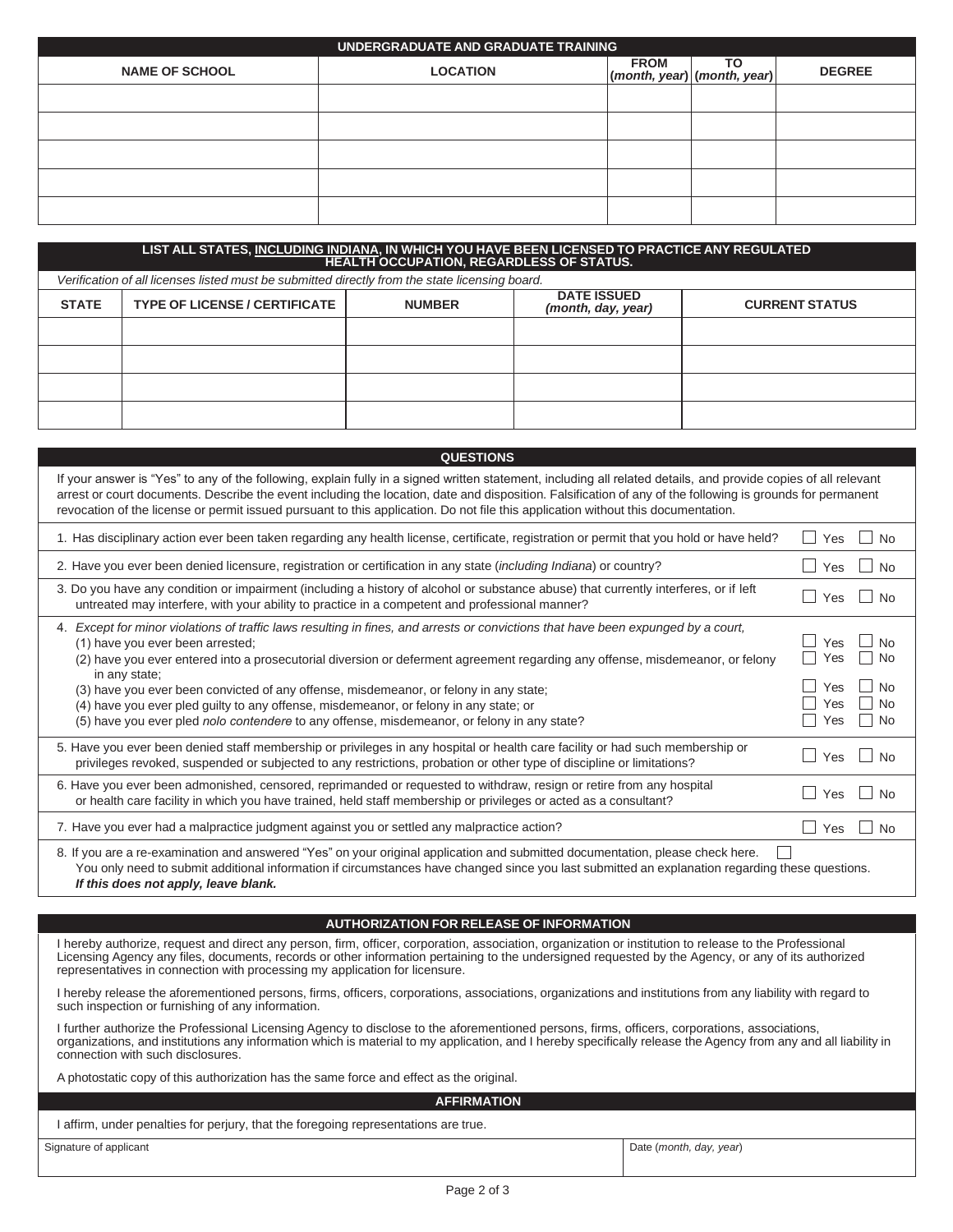| UNDERGRADUATE AND GRADUATE TRAINING |                 |             |                                     |               |
|-------------------------------------|-----------------|-------------|-------------------------------------|---------------|
| <b>NAME OF SCHOOL</b>               | <b>LOCATION</b> | <b>FROM</b> | ΤО<br>$(month, year)$ (month, year) | <b>DEGREE</b> |
|                                     |                 |             |                                     |               |
|                                     |                 |             |                                     |               |
|                                     |                 |             |                                     |               |
|                                     |                 |             |                                     |               |
|                                     |                 |             |                                     |               |

| LIST ALL STATES, <u>INCLUDING INDIANA,</u> IN WHICH YOU HAVE BEEN LICENSED TO PRACTICE ANY REGULATED<br>HEALTH OCCUPATION, REGARDLESS OF STATUS. |                                                                                                |               |                                          |                       |
|--------------------------------------------------------------------------------------------------------------------------------------------------|------------------------------------------------------------------------------------------------|---------------|------------------------------------------|-----------------------|
|                                                                                                                                                  | Verification of all licenses listed must be submitted directly from the state licensing board. |               |                                          |                       |
| <b>STATE</b>                                                                                                                                     | <b>TYPE OF LICENSE / CERTIFICATE</b>                                                           | <b>NUMBER</b> | <b>DATE ISSUED</b><br>(month, day, year) | <b>CURRENT STATUS</b> |
|                                                                                                                                                  |                                                                                                |               |                                          |                       |
|                                                                                                                                                  |                                                                                                |               |                                          |                       |
|                                                                                                                                                  |                                                                                                |               |                                          |                       |
|                                                                                                                                                  |                                                                                                |               |                                          |                       |

| <b>QUESTIONS</b>                                                                                                                                                                                                                                                                                                                                                                                                                                                                                          |                                                                |
|-----------------------------------------------------------------------------------------------------------------------------------------------------------------------------------------------------------------------------------------------------------------------------------------------------------------------------------------------------------------------------------------------------------------------------------------------------------------------------------------------------------|----------------------------------------------------------------|
| If your answer is "Yes" to any of the following, explain fully in a signed written statement, including all related details, and provide copies of all relevant<br>arrest or court documents. Describe the event including the location, date and disposition. Falsification of any of the following is grounds for permanent<br>revocation of the license or permit issued pursuant to this application. Do not file this application without this documentation.                                        |                                                                |
| 1. Has disciplinary action ever been taken regarding any health license, certificate, registration or permit that you hold or have held?                                                                                                                                                                                                                                                                                                                                                                  | Yes<br>No                                                      |
| 2. Have you ever been denied licensure, registration or certification in any state (including Indiana) or country?                                                                                                                                                                                                                                                                                                                                                                                        | Yes<br><b>No</b>                                               |
| 3. Do you have any condition or impairment (including a history of alcohol or substance abuse) that currently interferes, or if left<br>untreated may interfere, with your ability to practice in a competent and professional manner?                                                                                                                                                                                                                                                                    | Yes<br>$\sim$<br><b>No</b>                                     |
| 4. Except for minor violations of traffic laws resulting in fines, and arrests or convictions that have been expunged by a court,<br>(1) have you ever been arrested;<br>(2) have you ever entered into a prosecutorial diversion or deferment agreement regarding any offense, misdemeanor, or felony<br>in any state;<br>(3) have you ever been convicted of any offense, misdemeanor, or felony in any state;<br>(4) have you ever pled guilty to any offense, misdemeanor, or felony in any state; or | No<br>Yes<br><b>No</b><br>Yes<br><b>No</b><br>Yes<br>No<br>Yes |
| (5) have you ever pled nolo contendere to any offense, misdemeanor, or felony in any state?                                                                                                                                                                                                                                                                                                                                                                                                               | <b>No</b><br>Yes                                               |
| 5. Have you ever been denied staff membership or privileges in any hospital or health care facility or had such membership or<br>privileges revoked, suspended or subjected to any restrictions, probation or other type of discipline or limitations?                                                                                                                                                                                                                                                    | Yes<br>×.<br><b>No</b>                                         |
| 6. Have you ever been admonished, censored, reprimanded or requested to withdraw, resign or retire from any hospital<br>or health care facility in which you have trained, held staff membership or privileges or acted as a consultant?                                                                                                                                                                                                                                                                  | $\mathcal{L}$<br>Yes<br><b>No</b>                              |
| 7. Have you ever had a malpractice judgment against you or settled any malpractice action?                                                                                                                                                                                                                                                                                                                                                                                                                | Yes<br><b>No</b>                                               |
| 8. If you are a re-examination and answered "Yes" on your original application and submitted documentation, please check here.<br>You only need to submit additional information if circumstances have changed since you last submitted an explanation regarding these questions.                                                                                                                                                                                                                         |                                                                |

*If this does not apply, leave blank.*

## **AUTHORIZATION FOR RELEASE OF INFORMATION**

I hereby authorize, request and direct any person, firm, officer, corporation, association, organization or institution to release to the Professional Licensing Agency any files, documents, records or other information pertaining to the undersigned requested by the Agency, or any of its authorized representatives in connection with processing my application for licensure.

I hereby release the aforementioned persons, firms, officers, corporations, associations, organizations and institutions from any liability with regard to such inspection or furnishing of any information.

I further authorize the Professional Licensing Agency to disclose to the aforementioned persons, firms, officers, corporations, associations, organizations, and institutions any information which is material to my application, and I hereby specifically release the Agency from any and all liability in connection with such disclosures.

A photostatic copy of this authorization has the same force and effect as the original.

**AFFIRMATION**

I affirm, under penalties for perjury, that the foregoing representations are true.

Signature of applicant Date (*month, day, year*)